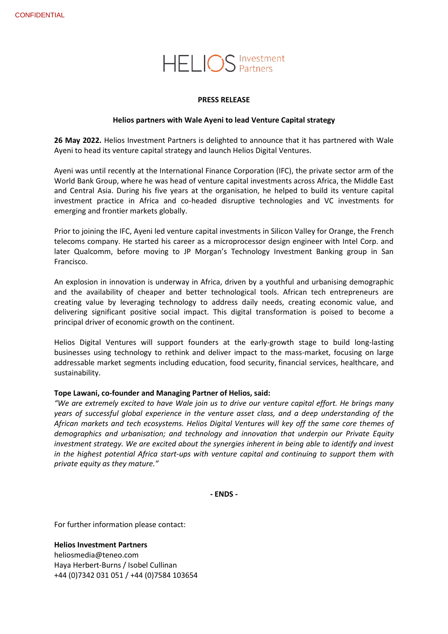# **HELIOS** Investment

## **PRESS RELEASE**

## **Helios partners with Wale Ayeni to lead Venture Capital strategy**

**26 May 2022.** Helios Investment Partners is delighted to announce that it has partnered with Wale Ayeni to head its venture capital strategy and launch Helios Digital Ventures.

Ayeni was until recently at the International Finance Corporation (IFC), the private sector arm of the World Bank Group, where he was head of venture capital investments across Africa, the Middle East and Central Asia. During his five years at the organisation, he helped to build its venture capital investment practice in Africa and co-headed disruptive technologies and VC investments for emerging and frontier markets globally.

Prior to joining the IFC, Ayeni led venture capital investments in Silicon Valley for Orange, the French telecoms company. He started his career as a microprocessor design engineer with Intel Corp. and later Qualcomm, before moving to JP Morgan's Technology Investment Banking group in San Francisco.

An explosion in innovation is underway in Africa, driven by a youthful and urbanising demographic and the availability of cheaper and better technological tools. African tech entrepreneurs are creating value by leveraging technology to address daily needs, creating economic value, and delivering significant positive social impact. This digital transformation is poised to become a principal driver of economic growth on the continent.

Helios Digital Ventures will support founders at the early-growth stage to build long-lasting businesses using technology to rethink and deliver impact to the mass-market, focusing on large addressable market segments including education, food security, financial services, healthcare, and sustainability.

## **Tope Lawani, co-founder and Managing Partner of Helios, said:**

*"We are extremely excited to have Wale join us to drive our venture capital effort. He brings many years of successful global experience in the venture asset class, and a deep understanding of the African markets and tech ecosystems. Helios Digital Ventures will key off the same core themes of demographics and urbanisation; and technology and innovation that underpin our Private Equity investment strategy. We are excited about the synergies inherent in being able to identify and invest in the highest potential Africa start-ups with venture capital and continuing to support them with private equity as they mature."*

**- ENDS -**

For further information please contact:

## **Helios Investment Partners**

[heliosmedia@teneo.com](mailto:heliosmedia@teneo.com) Haya Herbert-Burns / Isobel Cullinan +44 (0)7342 031 051 / +44 (0)7584 103654